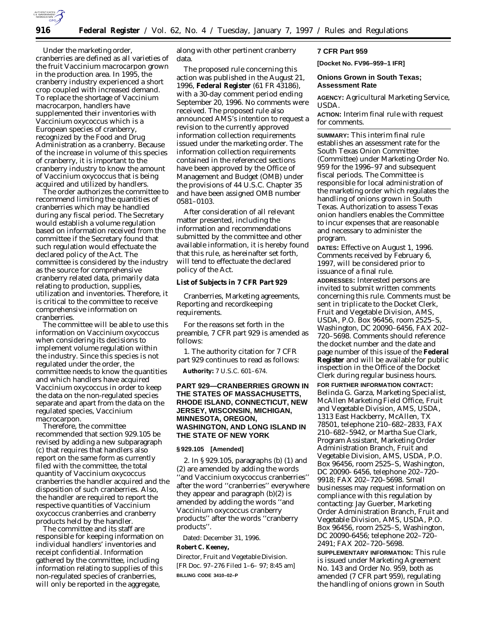

Under the marketing order, cranberries are defined as all varieties of the fruit *Vaccinium macrocarpon* grown in the production area. In 1995, the cranberry industry experienced a short crop coupled with increased demand. To replace the shortage of *Vaccinium macrocarpon*, handlers have supplemented their inventories with *Vaccinium oxycoccus* which is a European species of cranberry, recognized by the Food and Drug Administration as a cranberry. Because of the increase in volume of this species of cranberry, it is important to the cranberry industry to know the amount of *Vaccinium oxycoccus* that is being acquired and utilized by handlers.

The order authorizes the committee to recommend limiting the quantities of cranberries which may be handled during any fiscal period. The Secretary would establish a volume regulation based on information received from the committee if the Secretary found that such regulation would effectuate the declared policy of the Act. The committee is considered by the industry as the source for comprehensive cranberry related data, primarily data relating to production, supplies, utilization and inventories. Therefore, it is critical to the committee to receive comprehensive information on cranberries.

The committee will be able to use this information on *Vaccinium oxycoccus* when considering its decisions to implement volume regulation within the industry. Since this species is not regulated under the order, the committee needs to know the quantities and which handlers have acquired *Vaccinium oxycoccus* in order to keep the data on the non-regulated species separate and apart from the data on the regulated species, *Vaccinium macrocarpon*.

Therefore, the committee recommended that section 929.105 be revised by adding a new subparagraph (c) that requires that handlers also report on the same form as currently filed with the committee, the total quantity of *Vaccinium oxycoccus* cranberries the handler acquired and the disposition of such cranberries. Also, the handler are required to report the respective quantities of *Vaccinium oxycoccus* cranberries and cranberry products held by the handler.

The committee and its staff are responsible for keeping information on individual handlers' inventories and receipt confidential. Information gathered by the committee, including information relating to supplies of this non-regulated species of cranberries, will only be reported in the aggregate,

along with other pertinent cranberry data.

The proposed rule concerning this action was published in the August 21, 1996, **Federal Register** (61 FR 43186), with a 30-day comment period ending September 20, 1996. No comments were received. The proposed rule also announced AMS's intention to request a revision to the currently approved information collection requirements issued under the marketing order. The information collection requirements contained in the referenced sections have been approved by the Office of Management and Budget (OMB) under the provisions of 44 U.S.C. Chapter 35 and have been assigned OMB number 0581–0103.

After consideration of all relevant matter presented, including the information and recommendations submitted by the committee and other available information, it is hereby found that this rule, as hereinafter set forth, will tend to effectuate the declared policy of the Act.

**List of Subjects in 7 CFR Part 929**

Cranberries, Marketing agreements, Reporting and recordkeeping requirements.

For the reasons set forth in the preamble, 7 CFR part 929 is amended as follows:

1. The authority citation for 7 CFR part 929 continues to read as follows:

**Authority:** 7 U.S.C. 601–674.

### **PART 929—CRANBERRIES GROWN IN THE STATES OF MASSACHUSETTS, RHODE ISLAND, CONNECTICUT, NEW JERSEY, WISCONSIN, MICHIGAN, MINNESOTA, OREGON, WASHINGTON, AND LONG ISLAND IN THE STATE OF NEW YORK**

#### **§ 929.105 [Amended]**

2. In § 929.105, paragraphs (b) (1) and (2) are amended by adding the words ''and *Vaccinium oxycoccus* cranberries'' after the word ''cranberries'' everywhere they appear and paragraph (b)(2) is amended by adding the words ''and *Vaccinium oxycoccus* cranberry products'' after the words ''cranberry products''.

Dated: December 31, 1996.

**Robert C. Keeney,**

*Director, Fruit and Vegetable Division.* [FR Doc. 97–276 Filed 1–6– 97; 8:45 am] **BILLING CODE 3410–02–P**

### **7 CFR Part 959**

**[Docket No. FV96–959–1 IFR]**

### **Onions Grown in South Texas; Assessment Rate**

**AGENCY:** Agricultural Marketing Service, USDA.

**ACTION:** Interim final rule with request for comments.

**SUMMARY:** This interim final rule establishes an assessment rate for the South Texas Onion Committee (Committee) under Marketing Order No. 959 for the 1996–97 and subsequent fiscal periods. The Committee is responsible for local administration of the marketing order which regulates the handling of onions grown in South Texas. Authorization to assess Texas onion handlers enables the Committee to incur expenses that are reasonable and necessary to administer the program.

**DATES:** Effective on August 1, 1996. Comments received by February 6, 1997, will be considered prior to issuance of a final rule.

**ADDRESSES:** Interested persons are invited to submit written comments concerning this rule. Comments must be sent in triplicate to the Docket Clerk, Fruit and Vegetable Division, AMS, USDA, P.O. Box 96456, room 2525–S, Washington, DC 20090–6456, FAX 202– 720–5698. Comments should reference the docket number and the date and page number of this issue of the **Federal Register** and will be available for public inspection in the Office of the Docket Clerk during regular business hours.

**FOR FURTHER INFORMATION CONTACT:** Belinda G. Garza, Marketing Specialist, McAllen Marketing Field Office, Fruit and Vegetable Division, AMS, USDA, 1313 East Hackberry, McAllen, TX 78501, telephone 210–682–2833, FAX 210–682–5942, or Martha Sue Clark, Program Assistant, Marketing Order Administration Branch, Fruit and Vegetable Division, AMS, USDA, P.O. Box 96456, room 2525–S, Washington, DC 20090- 6456, telephone 202–720– 9918; FAX 202–720–5698. Small businesses may request information on compliance with this regulation by contacting: Jay Guerber, Marketing Order Administration Branch, Fruit and Vegetable Division, AMS, USDA, P.O. Box 96456, room 2525–S, Washington, DC 20090-6456; telephone 202–720– 2491; FAX 202–720–5698.

**SUPPLEMENTARY INFORMATION:** This rule is issued under Marketing Agreement No. 143 and Order No. 959, both as amended (7 CFR part 959), regulating the handling of onions grown in South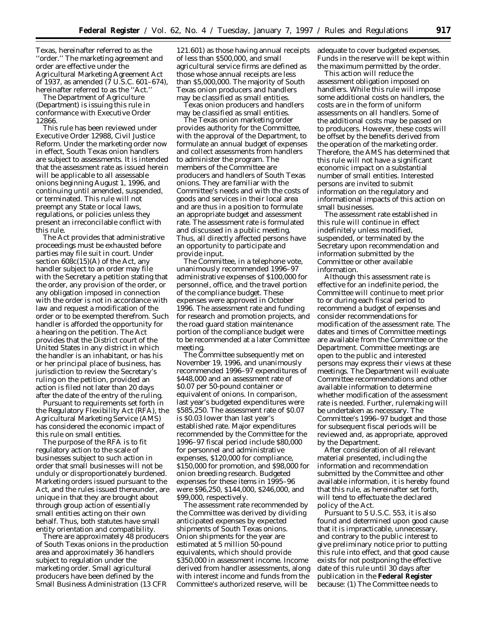Texas, hereinafter referred to as the ''order.'' The marketing agreement and order are effective under the Agricultural Marketing Agreement Act of 1937, as amended  $(7 \text{ U.S.C. } 601 - 674)$ , hereinafter referred to as the ''Act.''

The Department of Agriculture (Department) is issuing this rule in conformance with Executive Order 12866.

This rule has been reviewed under Executive Order 12988, Civil Justice Reform. Under the marketing order now in effect, South Texas onion handlers are subject to assessments. It is intended that the assessment rate as issued herein will be applicable to all assessable onions beginning August 1, 1996, and continuing until amended, suspended, or terminated. This rule will not preempt any State or local laws, regulations, or policies unless they present an irreconcilable conflict with this rule.

The Act provides that administrative proceedings must be exhausted before parties may file suit in court. Under section  $608c(15)$ (A) of the Act, any handler subject to an order may file with the Secretary a petition stating that the order, any provision of the order, or any obligation imposed in connection with the order is not in accordance with law and request a modification of the order or to be exempted therefrom. Such handler is afforded the opportunity for a hearing on the petition. The Act provides that the District court of the United States in any district in which the handler is an inhabitant, or has his or her principal place of business, has jurisdiction to review the Secretary's ruling on the petition, provided an action is filed not later than 20 days after the date of the entry of the ruling.

Pursuant to requirements set forth in the Regulatory Flexibility Act (RFA), the Agricultural Marketing Service (AMS) has considered the economic impact of this rule on small entities.

The purpose of the RFA is to fit regulatory action to the scale of businesses subject to such action in order that small businesses will not be unduly or disproportionately burdened. Marketing orders issued pursuant to the Act, and the rules issued thereunder, are unique in that they are brought about through group action of essentially small entities acting on their own behalf. Thus, both statutes have small entity orientation and compatibility.

There are approximately 48 producers of South Texas onions in the production area and approximately 36 handlers subject to regulation under the marketing order. Small agricultural producers have been defined by the Small Business Administration (13 CFR

121.601) as those having annual receipts of less than \$500,000, and small agricultural service firms are defined as those whose annual receipts are less than \$5,000,000. The majority of South Texas onion producers and handlers may be classified as small entities.

Texas onion producers and handlers may be classified as small entities.

The Texas onion marketing order provides authority for the Committee, with the approval of the Department, to formulate an annual budget of expenses and collect assessments from handlers to administer the program. The members of the Committee are producers and handlers of South Texas onions. They are familiar with the Committee's needs and with the costs of goods and services in their local area and are thus in a position to formulate an appropriate budget and assessment rate. The assessment rate is formulated and discussed in a public meeting. Thus, all directly affected persons have an opportunity to participate and provide input.

The Committee, in a telephone vote, unanimously recommended 1996–97 administrative expenses of \$100,000 for personnel, office, and the travel portion of the compliance budget. These expenses were approved in October 1996. The assessment rate and funding for research and promotion projects, and the road guard station maintenance portion of the compliance budget were to be recommended at a later Committee meeting.

The Committee subsequently met on November 19, 1996, and unanimously recommended 1996–97 expenditures of \$448,000 and an assessment rate of \$0.07 per 50-pound container or equivalent of onions. In comparison, last year's budgeted expenditures were \$585,250. The assessment rate of \$0.07 is \$0.03 lower than last year's established rate. Major expenditures recommended by the Committee for the 1996–97 fiscal period include \$80,000 for personnel and administrative expenses, \$120,000 for compliance, \$150,000 for promotion, and \$98,000 for onion breeding research. Budgeted expenses for these items in 1995–96 were \$96,250, \$144,000, \$246,000, and \$99,000, respectively.

The assessment rate recommended by the Committee was derived by dividing anticipated expenses by expected shipments of South Texas onions. Onion shipments for the year are estimated at 5 million 50-pound equivalents, which should provide \$350,000 in assessment income. Income derived from handler assessments, along with interest income and funds from the Committee's authorized reserve, will be

adequate to cover budgeted expenses. Funds in the reserve will be kept within the maximum permitted by the order.

This action will reduce the assessment obligation imposed on handlers. While this rule will impose some additional costs on handlers, the costs are in the form of uniform assessments on all handlers. Some of the additional costs may be passed on to producers. However, these costs will be offset by the benefits derived from the operation of the marketing order. Therefore, the AMS has determined that this rule will not have a significant economic impact on a substantial number of small entities. Interested persons are invited to submit information on the regulatory and informational impacts of this action on small businesses.

The assessment rate established in this rule will continue in effect indefinitely unless modified, suspended, or terminated by the Secretary upon recommendation and information submitted by the Committee or other available information.

Although this assessment rate is effective for an indefinite period, the Committee will continue to meet prior to or during each fiscal period to recommend a budget of expenses and consider recommendations for modification of the assessment rate. The dates and times of Committee meetings are available from the Committee or the Department. Committee meetings are open to the public and interested persons may express their views at these meetings. The Department will evaluate Committee recommendations and other available information to determine whether modification of the assessment rate is needed. Further, rulemaking will be undertaken as necessary. The Committee's 1996–97 budget and those for subsequent fiscal periods will be reviewed and, as appropriate, approved by the Department.

After consideration of all relevant material presented, including the information and recommendation submitted by the Committee and other available information, it is hereby found that this rule, as hereinafter set forth, will tend to effectuate the declared policy of the Act.

Pursuant to 5 U.S.C. 553, it is also found and determined upon good cause that it is impracticable, unnecessary, and contrary to the public interest to give preliminary notice prior to putting this rule into effect, and that good cause exists for not postponing the effective date of this rule until 30 days after publication in the **Federal Register** because: (1) The Committee needs to